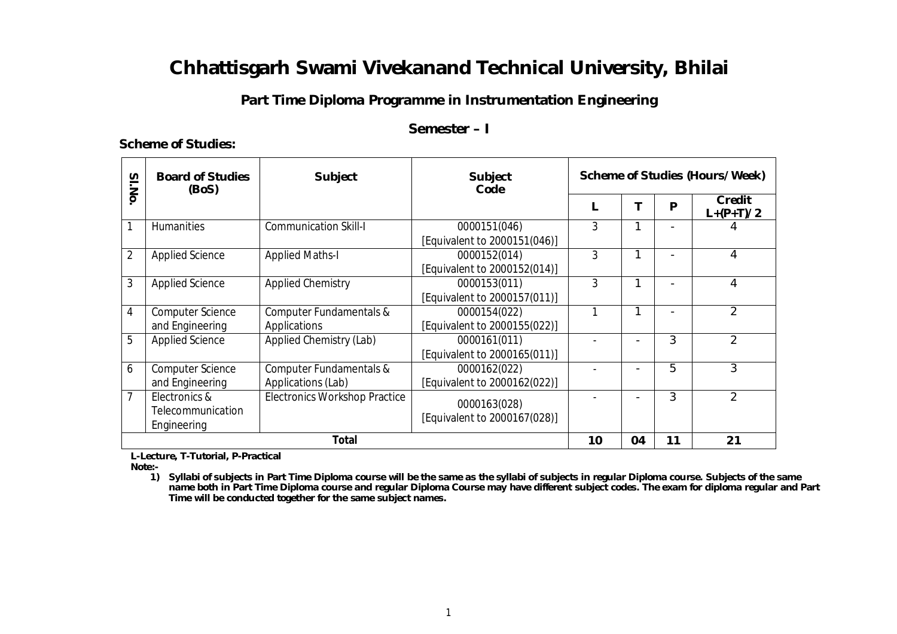## **Part Time Diploma Programme in Instrumentation Engineering**

### **Semester – I**

#### **Scheme of Studies:**

| SI.No          | <b>Board of Studies</b><br>(BoS)                  | <b>Subject</b>                                | <b>Subject</b><br>Code                       | <b>Scheme of Studies (Hours/Week)</b> |    |    |                       |
|----------------|---------------------------------------------------|-----------------------------------------------|----------------------------------------------|---------------------------------------|----|----|-----------------------|
|                |                                                   |                                               |                                              |                                       |    | P  | Credit<br>$L+(P+T)/2$ |
|                | <b>Humanities</b>                                 | <b>Communication Skill-I</b>                  | 0000151(046)<br>[Equivalent to 2000151(046)] | 3                                     |    |    |                       |
| $\overline{2}$ | <b>Applied Science</b>                            | <b>Applied Maths-I</b>                        | 0000152(014)<br>[Equivalent to 2000152(014)] | 3                                     | 1  |    | 4                     |
| 3              | <b>Applied Science</b>                            | <b>Applied Chemistry</b>                      | 0000153(011)<br>[Equivalent to 2000157(011)] | 3                                     | 1  |    | 4                     |
| 4              | <b>Computer Science</b><br>and Engineering        | Computer Fundamentals &<br>Applications       | 0000154(022)<br>[Equivalent to 2000155(022)] |                                       |    |    | $\overline{2}$        |
| 5              | <b>Applied Science</b>                            | Applied Chemistry (Lab)                       | 0000161(011)<br>[Equivalent to 2000165(011)] |                                       |    | 3  | $\mathfrak{p}$        |
| 6              | <b>Computer Science</b><br>and Engineering        | Computer Fundamentals &<br>Applications (Lab) | 0000162(022)<br>[Equivalent to 2000162(022)] |                                       |    | 5  | 3                     |
| 7              | Electronics &<br>Telecommunication<br>Engineering | <b>Electronics Workshop Practice</b>          | 0000163(028)<br>[Equivalent to 2000167(028)] |                                       |    | 3  | $\overline{2}$        |
|                | Total                                             |                                               |                                              |                                       | 04 | 11 | 21                    |

 **L-Lecture, T-Tutorial, P-Practical**

 **Note:-**

**1) Syllabi of subjects in Part Time Diploma course will be the same as the syllabi of subjects in regular Diploma course. Subjects of the same name both in Part Time Diploma course and regular Diploma Course may have different subject codes. The exam for diploma regular and Part Time will be conducted together for the same subject names.**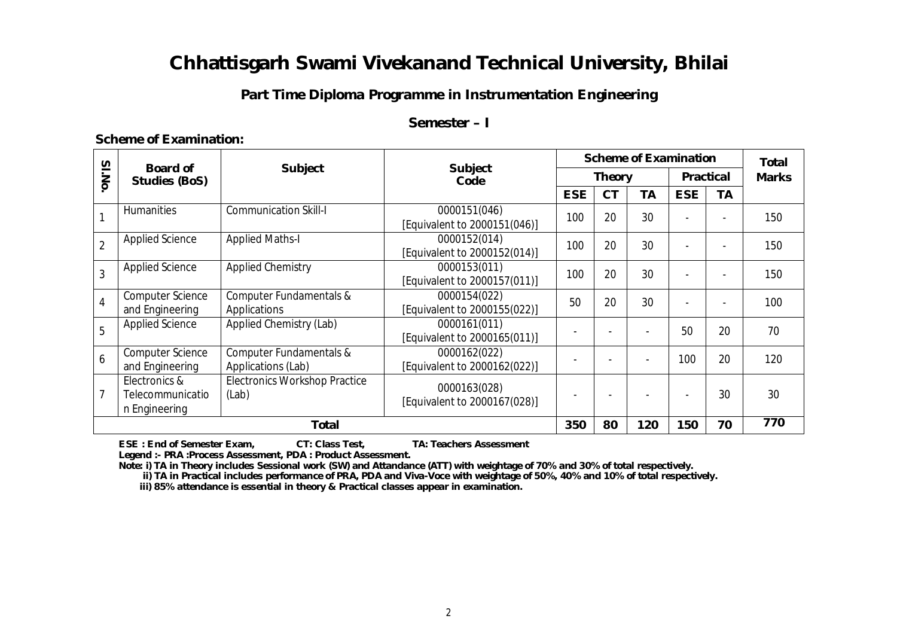## **Part Time Diploma Programme in Instrumentation Engineering**

### **Semester – I**

#### **Scheme of Examination:**

| $\overline{\mathbf{z}}$ | <b>Board of</b><br><b>Studies (BoS)</b>            | <b>Subject</b>                                |                                              | <b>Scheme of Examination</b> |           |     |                  |    | <b>Total</b> |
|-------------------------|----------------------------------------------------|-----------------------------------------------|----------------------------------------------|------------------------------|-----------|-----|------------------|----|--------------|
| <b>I.No</b>             |                                                    |                                               | <b>Subject</b><br>Code                       | <b>Theory</b>                |           |     | <b>Practical</b> |    | <b>Marks</b> |
|                         |                                                    |                                               |                                              | <b>ESE</b>                   | <b>CT</b> | TA  | <b>ESE</b>       | TA |              |
|                         | <b>Humanities</b>                                  | <b>Communication Skill-I</b>                  | 0000151(046)<br>[Equivalent to 2000151(046)] | 100                          | 20        | 30  |                  |    | 150          |
| $\overline{2}$          | <b>Applied Science</b>                             | <b>Applied Maths-I</b>                        | 0000152(014)<br>[Equivalent to 2000152(014)] | 100                          | 20        | 30  |                  |    | 150          |
| 3                       | <b>Applied Science</b>                             | <b>Applied Chemistry</b>                      | 0000153(011)<br>[Equivalent to 2000157(011)] | 100                          | 20        | 30  |                  |    | 150          |
| 4                       | <b>Computer Science</b><br>and Engineering         | Computer Fundamentals &<br>Applications       | 0000154(022)<br>[Equivalent to 2000155(022)] | 50                           | 20        | 30  |                  |    | 100          |
| 5                       | <b>Applied Science</b>                             | Applied Chemistry (Lab)                       | 0000161(011)<br>[Equivalent to 2000165(011)] |                              |           |     | 50               | 20 | 70           |
| 6                       | <b>Computer Science</b><br>and Engineering         | Computer Fundamentals &<br>Applications (Lab) | 0000162(022)<br>[Equivalent to 2000162(022)] |                              |           |     | 100              | 20 | 120          |
|                         | Electronics &<br>Telecommunicatio<br>n Engineering | <b>Electronics Workshop Practice</b><br>(Lab) | 0000163(028)<br>[Equivalent to 2000167(028)] |                              |           |     |                  | 30 | 30           |
| <b>Total</b>            |                                                    |                                               |                                              | 350                          | 80        | 120 | 150              | 70 | 770          |

 **ESE : End of Semester Exam, CT: Class Test, TA: Teachers Assessment**

 **Legend :- PRA :Process Assessment, PDA : Product Assessment.**

 **Note: i) TA in Theory includes Sessional work (SW) and Attandance (ATT) with weightage of 70% and 30% of total respectively.**

 **ii) TA in Practical includes performance of PRA, PDA and Viva-Voce with weightage of 50%, 40% and 10% of total respectively.**

 **iii) 85% attendance is essential in theory & Practical classes appear in examination.**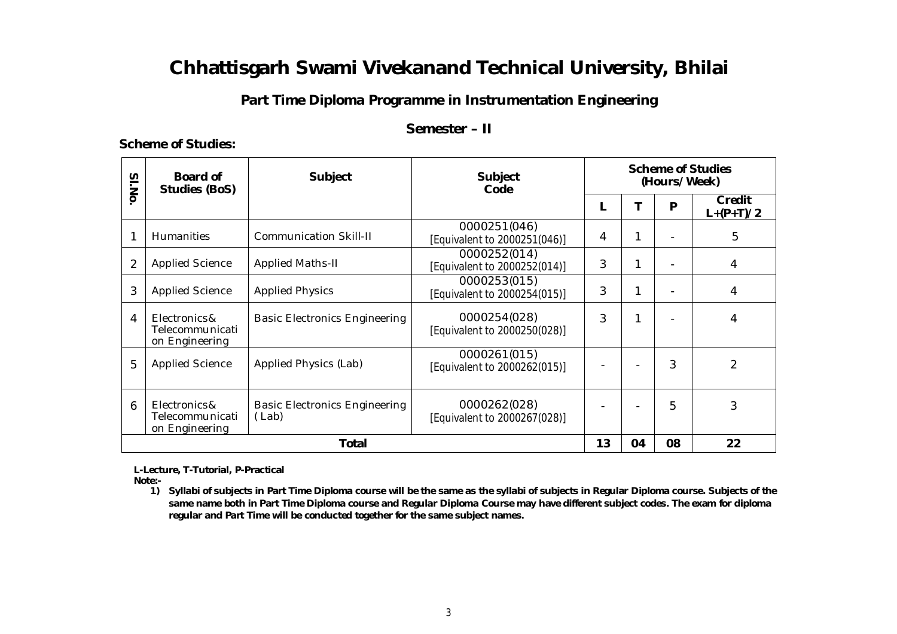### **Part Time Diploma Programme in Instrumentation Engineering**

### **Semester – II**

#### **Scheme of Studies:**

| SI.No | Board of<br><b>Studies (BoS)</b>                  | <b>Subject</b>                                | <b>Subject</b><br>Code                       | <b>Scheme of Studies</b><br>(Hours/Week) |    |    |                       |  |
|-------|---------------------------------------------------|-----------------------------------------------|----------------------------------------------|------------------------------------------|----|----|-----------------------|--|
|       |                                                   |                                               |                                              |                                          |    | P  | Credit<br>$L+(P+T)/2$ |  |
|       | Humanities                                        | <b>Communication Skill-II</b>                 | 0000251(046)<br>[Equivalent to 2000251(046)] | 4                                        |    |    | 5                     |  |
| 2     | <b>Applied Science</b>                            | <b>Applied Maths-II</b>                       | 0000252(014)<br>[Equivalent to 2000252(014)] | 3                                        |    |    | 4                     |  |
| 3     | <b>Applied Science</b>                            | <b>Applied Physics</b>                        | 0000253(015)<br>[Equivalent to 2000254(015)] | 3                                        |    |    | 4                     |  |
| 4     | Electronics&<br>Telecommunicati<br>on Engineering | <b>Basic Electronics Engineering</b>          | 0000254(028)<br>[Equivalent to 2000250(028)] | 3                                        |    |    | 4                     |  |
| 5     | <b>Applied Science</b>                            | Applied Physics (Lab)                         | 0000261(015)<br>[Equivalent to 2000262(015)] |                                          |    | 3  | $\overline{2}$        |  |
| 6     | Electronics&<br>Telecommunicati<br>on Engineering | <b>Basic Electronics Engineering</b><br>(Lab) | 0000262(028)<br>[Equivalent to 2000267(028)] |                                          |    | 5  | 3                     |  |
|       | <b>Total</b>                                      |                                               |                                              |                                          | 04 | 08 | 22                    |  |

 **L-Lecture, T-Tutorial, P-Practical Note:-**

> **1) Syllabi of subjects in Part Time Diploma course will be the same as the syllabi of subjects in Regular Diploma course. Subjects of the same name both in Part Time Diploma course and Regular Diploma Course may have different subject codes. The exam for diploma regular and Part Time will be conducted together for the same subject names.**